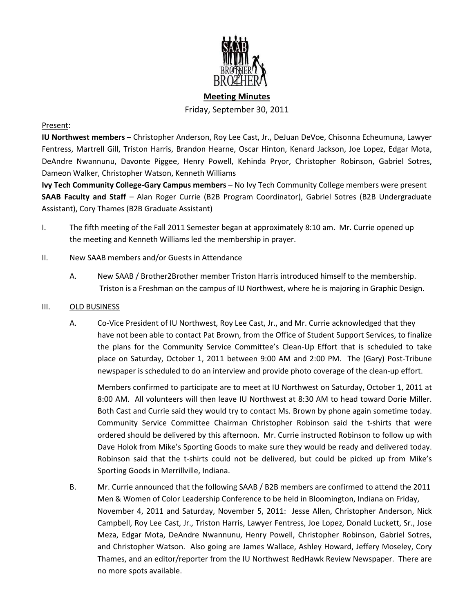

# **Meeting Minutes** Friday, September 30, 2011

#### Present:

**IU Northwest members** – Christopher Anderson, Roy Lee Cast, Jr., DeJuan DeVoe, Chisonna Echeumuna, Lawyer Fentress, Martrell Gill, Triston Harris, Brandon Hearne, Oscar Hinton, Kenard Jackson, Joe Lopez, Edgar Mota, DeAndre Nwannunu, Davonte Piggee, Henry Powell, Kehinda Pryor, Christopher Robinson, Gabriel Sotres, Dameon Walker, Christopher Watson, Kenneth Williams

**Ivy Tech Community College-Gary Campus members** – No Ivy Tech Community College members were present **SAAB Faculty and Staff** – Alan Roger Currie (B2B Program Coordinator), Gabriel Sotres (B2B Undergraduate Assistant), Cory Thames (B2B Graduate Assistant)

- I. The fifth meeting of the Fall 2011 Semester began at approximately 8:10 am. Mr. Currie opened up the meeting and Kenneth Williams led the membership in prayer.
- II. New SAAB members and/or Guests in Attendance
	- A. New SAAB / Brother2Brother member Triston Harris introduced himself to the membership. Triston is a Freshman on the campus of IU Northwest, where he is majoring in Graphic Design.
- III. OLD BUSINESS
	- A. Co-Vice President of IU Northwest, Roy Lee Cast, Jr., and Mr. Currie acknowledged that they have not been able to contact Pat Brown, from the Office of Student Support Services, to finalize the plans for the Community Service Committee's Clean-Up Effort that is scheduled to take place on Saturday, October 1, 2011 between 9:00 AM and 2:00 PM. The (Gary) Post-Tribune newspaper is scheduled to do an interview and provide photo coverage of the clean-up effort.

Members confirmed to participate are to meet at IU Northwest on Saturday, October 1, 2011 at 8:00 AM. All volunteers will then leave IU Northwest at 8:30 AM to head toward Dorie Miller. Both Cast and Currie said they would try to contact Ms. Brown by phone again sometime today. Community Service Committee Chairman Christopher Robinson said the t-shirts that were ordered should be delivered by this afternoon. Mr. Currie instructed Robinson to follow up with Dave Holok from Mike's Sporting Goods to make sure they would be ready and delivered today. Robinson said that the t-shirts could not be delivered, but could be picked up from Mike's Sporting Goods in Merrillville, Indiana.

B. Mr. Currie announced that the following SAAB / B2B members are confirmed to attend the 2011 Men & Women of Color Leadership Conference to be held in Bloomington, Indiana on Friday, November 4, 2011 and Saturday, November 5, 2011: Jesse Allen, Christopher Anderson, Nick Campbell, Roy Lee Cast, Jr., Triston Harris, Lawyer Fentress, Joe Lopez, Donald Luckett, Sr., Jose Meza, Edgar Mota, DeAndre Nwannunu, Henry Powell, Christopher Robinson, Gabriel Sotres, and Christopher Watson. Also going are James Wallace, Ashley Howard, Jeffery Moseley, Cory Thames, and an editor/reporter from the IU Northwest RedHawk Review Newspaper. There are no more spots available.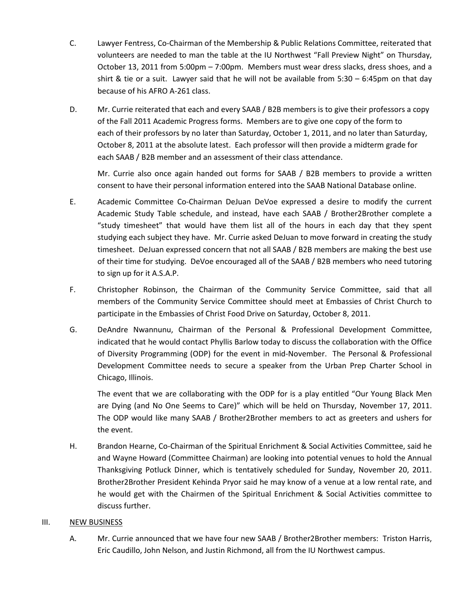- C. Lawyer Fentress, Co-Chairman of the Membership & Public Relations Committee, reiterated that volunteers are needed to man the table at the IU Northwest "Fall Preview Night" on Thursday, October 13, 2011 from 5:00pm – 7:00pm. Members must wear dress slacks, dress shoes, and a shirt & tie or a suit. Lawyer said that he will not be available from 5:30 – 6:45pm on that day because of his AFRO A-261 class.
- D. Mr. Currie reiterated that each and every SAAB / B2B members is to give their professors a copy of the Fall 2011 Academic Progress forms. Members are to give one copy of the form to each of their professors by no later than Saturday, October 1, 2011, and no later than Saturday, October 8, 2011 at the absolute latest. Each professor will then provide a midterm grade for each SAAB / B2B member and an assessment of their class attendance.

Mr. Currie also once again handed out forms for SAAB / B2B members to provide a written consent to have their personal information entered into the SAAB National Database online.

- E. Academic Committee Co-Chairman DeJuan DeVoe expressed a desire to modify the current Academic Study Table schedule, and instead, have each SAAB / Brother2Brother complete a "study timesheet" that would have them list all of the hours in each day that they spent studying each subject they have. Mr. Currie asked DeJuan to move forward in creating the study timesheet. DeJuan expressed concern that not all SAAB / B2B members are making the best use of their time for studying. DeVoe encouraged all of the SAAB / B2B members who need tutoring to sign up for it A.S.A.P.
- F. Christopher Robinson, the Chairman of the Community Service Committee, said that all members of the Community Service Committee should meet at Embassies of Christ Church to participate in the Embassies of Christ Food Drive on Saturday, October 8, 2011.
- G. DeAndre Nwannunu, Chairman of the Personal & Professional Development Committee, indicated that he would contact Phyllis Barlow today to discuss the collaboration with the Office of Diversity Programming (ODP) for the event in mid-November. The Personal & Professional Development Committee needs to secure a speaker from the Urban Prep Charter School in Chicago, Illinois.

The event that we are collaborating with the ODP for is a play entitled "Our Young Black Men are Dying (and No One Seems to Care)" which will be held on Thursday, November 17, 2011. The ODP would like many SAAB / Brother2Brother members to act as greeters and ushers for the event.

H. Brandon Hearne, Co-Chairman of the Spiritual Enrichment & Social Activities Committee, said he and Wayne Howard (Committee Chairman) are looking into potential venues to hold the Annual Thanksgiving Potluck Dinner, which is tentatively scheduled for Sunday, November 20, 2011. Brother2Brother President Kehinda Pryor said he may know of a venue at a low rental rate, and he would get with the Chairmen of the Spiritual Enrichment & Social Activities committee to discuss further.

#### III. NEW BUSINESS

A. Mr. Currie announced that we have four new SAAB / Brother2Brother members: Triston Harris, Eric Caudillo, John Nelson, and Justin Richmond, all from the IU Northwest campus.